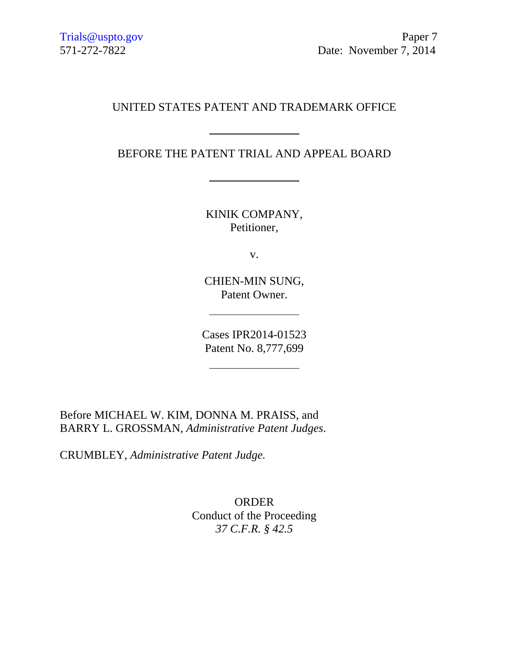## UNITED STATES PATENT AND TRADEMARK OFFICE

BEFORE THE PATENT TRIAL AND APPEAL BOARD

KINIK COMPANY, Petitioner,

v.

CHIEN-MIN SUNG, Patent Owner.

Cases IPR2014-01523 Patent No. 8,777,699

Before MICHAEL W. KIM, DONNA M. PRAISS, and BARRY L. GROSSMAN, *Administrative Patent Judges*.

CRUMBLEY, *Administrative Patent Judge.*

ORDER Conduct of the Proceeding *37 C.F.R. § 42.5*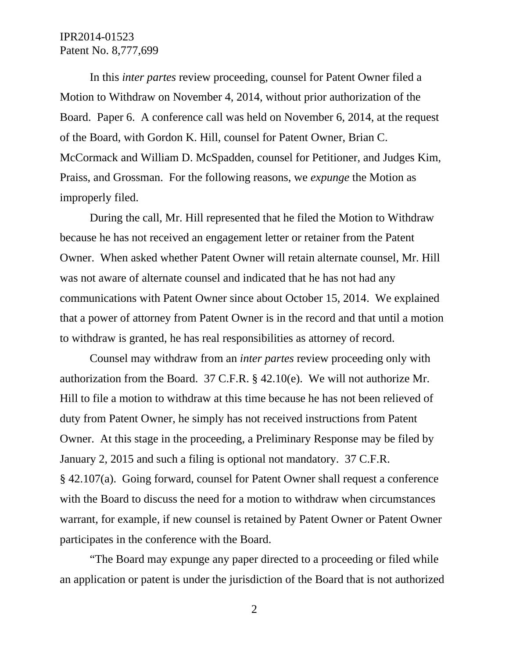## IPR2014-01523 Patent No. 8,777,699

 In this *inter partes* review proceeding, counsel for Patent Owner filed a Motion to Withdraw on November 4, 2014, without prior authorization of the Board. Paper 6. A conference call was held on November 6, 2014, at the request of the Board, with Gordon K. Hill, counsel for Patent Owner, Brian C. McCormack and William D. McSpadden, counsel for Petitioner, and Judges Kim, Praiss, and Grossman. For the following reasons, we *expunge* the Motion as improperly filed.

 During the call, Mr. Hill represented that he filed the Motion to Withdraw because he has not received an engagement letter or retainer from the Patent Owner. When asked whether Patent Owner will retain alternate counsel, Mr. Hill was not aware of alternate counsel and indicated that he has not had any communications with Patent Owner since about October 15, 2014. We explained that a power of attorney from Patent Owner is in the record and that until a motion to withdraw is granted, he has real responsibilities as attorney of record.

Counsel may withdraw from an *inter partes* review proceeding only with authorization from the Board. 37 C.F.R. § 42.10(e). We will not authorize Mr. Hill to file a motion to withdraw at this time because he has not been relieved of duty from Patent Owner, he simply has not received instructions from Patent Owner. At this stage in the proceeding, a Preliminary Response may be filed by January 2, 2015 and such a filing is optional not mandatory. 37 C.F.R. § 42.107(a). Going forward, counsel for Patent Owner shall request a conference with the Board to discuss the need for a motion to withdraw when circumstances warrant, for example, if new counsel is retained by Patent Owner or Patent Owner participates in the conference with the Board.

"The Board may expunge any paper directed to a proceeding or filed while an application or patent is under the jurisdiction of the Board that is not authorized

2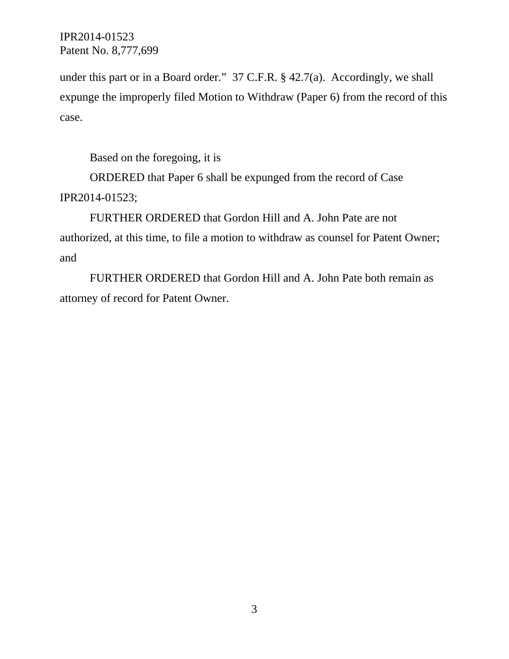IPR2014-01523 Patent No. 8,777,699

under this part or in a Board order." 37 C.F.R. § 42.7(a). Accordingly, we shall expunge the improperly filed Motion to Withdraw (Paper 6) from the record of this case.

Based on the foregoing, it is

ORDERED that Paper 6 shall be expunged from the record of Case IPR2014-01523;

FURTHER ORDERED that Gordon Hill and A. John Pate are not authorized, at this time, to file a motion to withdraw as counsel for Patent Owner; and

FURTHER ORDERED that Gordon Hill and A. John Pate both remain as attorney of record for Patent Owner.